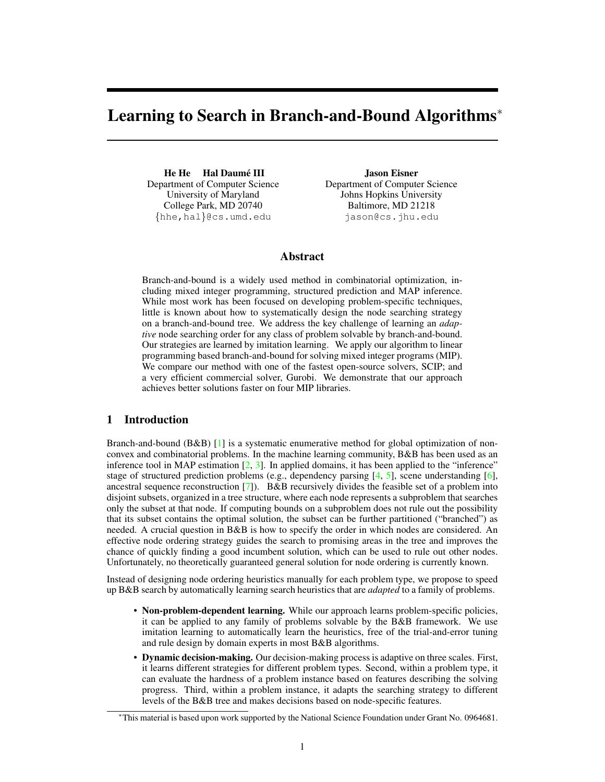# Learning to Search in Branch-and-Bound Algorithms<sup>∗</sup>

He He Hal Daumé III Department of Computer Science University of Maryland College Park, MD 20740 {hhe,hal}@cs.umd.edu

Jason Eisner Department of Computer Science Johns Hopkins University Baltimore, MD 21218 jason@cs.jhu.edu

## Abstract

Branch-and-bound is a widely used method in combinatorial optimization, including mixed integer programming, structured prediction and MAP inference. While most work has been focused on developing problem-specific techniques, little is known about how to systematically design the node searching strategy on a branch-and-bound tree. We address the key challenge of learning an *adaptive* node searching order for any class of problem solvable by branch-and-bound. Our strategies are learned by imitation learning. We apply our algorithm to linear programming based branch-and-bound for solving mixed integer programs (MIP). We compare our method with one of the fastest open-source solvers, SCIP; and a very efficient commercial solver, Gurobi. We demonstrate that our approach achieves better solutions faster on four MIP libraries.

#### 1 Introduction

Branch-and-bound (B&B) [\[1\]](#page-8-0) is a systematic enumerative method for global optimization of nonconvex and combinatorial problems. In the machine learning community, B&B has been used as an inference tool in MAP estimation [\[2,](#page-8-1) [3\]](#page-8-2). In applied domains, it has been applied to the "inference" stage of structured prediction problems (e.g., dependency parsing  $[4, 5]$  $[4, 5]$  $[4, 5]$ , scene understanding  $[6]$ , ancestral sequence reconstruction  $\binom{7}{1}$ . B&B recursively divides the feasible set of a problem into disjoint subsets, organized in a tree structure, where each node represents a subproblem that searches only the subset at that node. If computing bounds on a subproblem does not rule out the possibility that its subset contains the optimal solution, the subset can be further partitioned ("branched") as needed. A crucial question in B&B is how to specify the order in which nodes are considered. An effective node ordering strategy guides the search to promising areas in the tree and improves the chance of quickly finding a good incumbent solution, which can be used to rule out other nodes. Unfortunately, no theoretically guaranteed general solution for node ordering is currently known.

Instead of designing node ordering heuristics manually for each problem type, we propose to speed up B&B search by automatically learning search heuristics that are *adapted* to a family of problems.

- Non-problem-dependent learning. While our approach learns problem-specific policies, it can be applied to any family of problems solvable by the B&B framework. We use imitation learning to automatically learn the heuristics, free of the trial-and-error tuning and rule design by domain experts in most B&B algorithms.
- Dynamic decision-making. Our decision-making process is adaptive on three scales. First, it learns different strategies for different problem types. Second, within a problem type, it can evaluate the hardness of a problem instance based on features describing the solving progress. Third, within a problem instance, it adapts the searching strategy to different levels of the B&B tree and makes decisions based on node-specific features.

<sup>∗</sup>This material is based upon work supported by the National Science Foundation under Grant No. 0964681.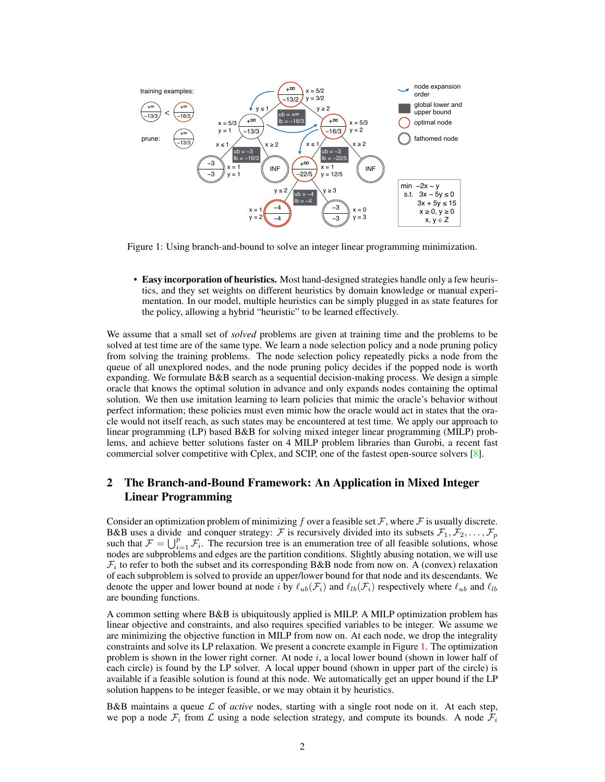

Figure 1: Using branch-and-bound to solve an integer linear programming minimization.

<span id="page-1-0"></span>• Easy incorporation of heuristics. Most hand-designed strategies handle only a few heuristics, and they set weights on different heuristics by domain knowledge or manual experimentation. In our model, multiple heuristics can be simply plugged in as state features for the policy, allowing a hybrid "heuristic" to be learned effectively.

We assume that a small set of *solved* problems are given at training time and the problems to be solved at test time are of the same type. We learn a node selection policy and a node pruning policy from solving the training problems. The node selection policy repeatedly picks a node from the queue of all unexplored nodes, and the node pruning policy decides if the popped node is worth expanding. We formulate B&B search as a sequential decision-making process. We design a simple oracle that knows the optimal solution in advance and only expands nodes containing the optimal solution. We then use imitation learning to learn policies that mimic the oracle's behavior without perfect information; these policies must even mimic how the oracle would act in states that the oracle would not itself reach, as such states may be encountered at test time. We apply our approach to linear programming (LP) based B&B for solving mixed integer linear programming (MILP) problems, and achieve better solutions faster on 4 MILP problem libraries than Gurobi, a recent fast commercial solver competitive with Cplex, and SCIP, one of the fastest open-source solvers [\[8\]](#page-8-7).

## <span id="page-1-1"></span>2 The Branch-and-Bound Framework: An Application in Mixed Integer Linear Programming

Consider an optimization problem of minimizing f over a feasible set  $\mathcal F$ , where  $\mathcal F$  is usually discrete. B&B uses a divide and conquer strategy: F is recursively divided into its subsets  $\mathcal{F}_1, \mathcal{F}_2, \ldots, \mathcal{F}_p$ such that  $\mathcal{F} = \bigcup_{i=1}^p \mathcal{F}_i$ . The recursion tree is an enumeration tree of all feasible solutions, whose nodes are subproblems and edges are the partition conditions. Slightly abusing notation, we will use  $\mathcal{F}_i$  to refer to both the subset and its corresponding B&B node from now on. A (convex) relaxation of each subproblem is solved to provide an upper/lower bound for that node and its descendants. We denote the upper and lower bound at node i by  $\ell_{ub}(\mathcal{F}_i)$  and  $\ell_{lb}(\mathcal{F}_i)$  respectively where  $\ell_{ub}$  and  $\ell_{lb}$ are bounding functions.

A common setting where B&B is ubiquitously applied is MILP. A MILP optimization problem has linear objective and constraints, and also requires specified variables to be integer. We assume we are minimizing the objective function in MILP from now on. At each node, we drop the integrality constraints and solve its LP relaxation. We present a concrete example in Figure [1.](#page-1-0) The optimization problem is shown in the lower right corner. At node i, a local lower bound (shown in lower half of each circle) is found by the LP solver. A local upper bound (shown in upper part of the circle) is available if a feasible solution is found at this node. We automatically get an upper bound if the LP solution happens to be integer feasible, or we may obtain it by heuristics.

B&B maintains a queue  $\mathcal L$  of *active* nodes, starting with a single root node on it. At each step, we pop a node  $\mathcal{F}_i$  from  $\mathcal{L}$  using a node selection strategy, and compute its bounds. A node  $\mathcal{F}_i$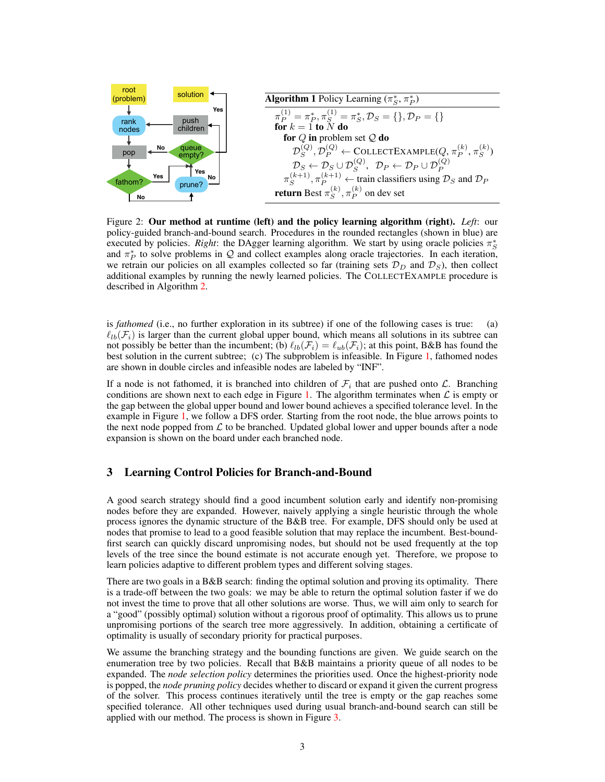<span id="page-2-1"></span>

Figure 2: Our method at runtime (left) and the policy learning algorithm (right). *Left*: our policy-guided branch-and-bound search. Procedures in the rounded rectangles (shown in blue) are executed by policies. *Right*: the DAgger learning algorithm. We start by using oracle policies  $\pi_S^*$ and  $\pi_P^*$  to solve problems in Q and collect examples along oracle trajectories. In each iteration, we retrain our policies on all examples collected so far (training sets  $\mathcal{D}_D$  and  $\mathcal{D}_S$ ), then collect additional examples by running the newly learned policies. The COLLECTEXAMPLE procedure is described in Algorithm [2.](#page-4-0)

is *fathomed* (i.e., no further exploration in its subtree) if one of the following cases is true: (a)  $\ell_{lb}(\mathcal{F}_i)$  is larger than the current global upper bound, which means all solutions in its subtree can not possibly be better than the incumbent; (b)  $\ell_{lb}(\mathcal{F}_i) = \ell_{ub}(\mathcal{F}_i)$ ; at this point, B&B has found the best solution in the current subtree; (c) The subproblem is infeasible. In Figure [1,](#page-1-0) fathomed nodes are shown in double circles and infeasible nodes are labeled by "INF".

If a node is not fathomed, it is branched into children of  $\mathcal{F}_i$  that are pushed onto  $\mathcal{L}$ . Branching conditions are shown next to each edge in Figure [1.](#page-1-0) The algorithm terminates when  $\mathcal L$  is empty or the gap between the global upper bound and lower bound achieves a specified tolerance level. In the example in Figure [1,](#page-1-0) we follow a DFS order. Starting from the root node, the blue arrows points to the next node popped from  $\mathcal L$  to be branched. Updated global lower and upper bounds after a node expansion is shown on the board under each branched node.

#### <span id="page-2-0"></span>3 Learning Control Policies for Branch-and-Bound

A good search strategy should find a good incumbent solution early and identify non-promising nodes before they are expanded. However, naively applying a single heuristic through the whole process ignores the dynamic structure of the B&B tree. For example, DFS should only be used at nodes that promise to lead to a good feasible solution that may replace the incumbent. Best-boundfirst search can quickly discard unpromising nodes, but should not be used frequently at the top levels of the tree since the bound estimate is not accurate enough yet. Therefore, we propose to learn policies adaptive to different problem types and different solving stages.

There are two goals in a B&B search: finding the optimal solution and proving its optimality. There is a trade-off between the two goals: we may be able to return the optimal solution faster if we do not invest the time to prove that all other solutions are worse. Thus, we will aim only to search for a "good" (possibly optimal) solution without a rigorous proof of optimality. This allows us to prune unpromising portions of the search tree more aggressively. In addition, obtaining a certificate of optimality is usually of secondary priority for practical purposes.

We assume the branching strategy and the bounding functions are given. We guide search on the enumeration tree by two policies. Recall that B&B maintains a priority queue of all nodes to be expanded. The *node selection policy* determines the priorities used. Once the highest-priority node is popped, the *node pruning policy* decides whether to discard or expand it given the current progress of the solver. This process continues iteratively until the tree is empty or the gap reaches some specified tolerance. All other techniques used during usual branch-and-bound search can still be applied with our method. The process is shown in Figure [3.](#page-2-0)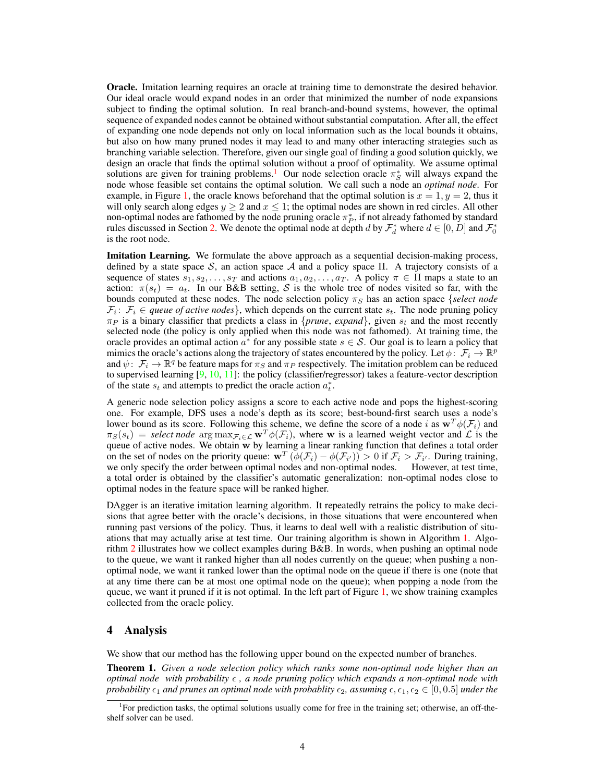**Oracle.** Imitation learning requires an oracle at training time to demonstrate the desired behavior. Our ideal oracle would expand nodes in an order that minimized the number of node expansions subject to finding the optimal solution. In real branch-and-bound systems, however, the optimal sequence of expanded nodes cannot be obtained without substantial computation. After all, the effect of expanding one node depends not only on local information such as the local bounds it obtains, but also on how many pruned nodes it may lead to and many other interacting strategies such as branching variable selection. Therefore, given our single goal of finding a good solution quickly, we design an oracle that finds the optimal solution without a proof of optimality. We assume optimal solutions are given for training problems.<sup>[1](#page-3-0)</sup> Our node selection oracle  $\pi_S^*$  will always expand the node whose feasible set contains the optimal solution. We call such a node an *optimal node*. For example, in Figure [1,](#page-1-0) the oracle knows beforehand that the optimal solution is  $x = 1, y = 2$ , thus it will only search along edges  $y \ge 2$  and  $x \le 1$ ; the optimal nodes are shown in red circles. All other non-optimal nodes are fathomed by the node pruning oracle  $\pi_P^*$ , if not already fathomed by standard rules discussed in Section [2.](#page-1-1) We denote the optimal node at depth d by  $\mathcal{F}_d^*$  where  $d \in [0, D]$  and  $\mathcal{F}_0^*$ is the root node.

Imitation Learning. We formulate the above approach as a sequential decision-making process, defined by a state space S, an action space A and a policy space Π. A trajectory consists of a sequence of states  $s_1, s_2, \ldots, s_T$  and actions  $a_1, a_2, \ldots, a_T$ . A policy  $\pi \in \Pi$  maps a state to an action:  $\pi(s_t) = a_t$ . In our B&B setting, S is the whole tree of nodes visited so far, with the bounds computed at these nodes. The node selection policy  $\pi_S$  has an action space {*select node*  $\mathcal{F}_i: \mathcal{F}_i \in \text{queue of active nodes}$ , which depends on the current state  $s_t$ . The node pruning policy  $\pi_P$  is a binary classifier that predicts a class in {*prune*, *expand*}, given  $s_t$  and the most recently selected node (the policy is only applied when this node was not fathomed). At training time, the oracle provides an optimal action  $a^*$  for any possible state  $s \in S$ . Our goal is to learn a policy that mimics the oracle's actions along the trajectory of states encountered by the policy. Let  $\phi \colon \mathcal{F}_i \to \mathbb{R}^p$ and  $\psi: \mathcal{F}_i \to \mathbb{R}^q$  be feature maps for  $\pi_S$  and  $\pi_P$  respectively. The imitation problem can be reduced to supervised learning  $[9, 10, 11]$  $[9, 10, 11]$  $[9, 10, 11]$  $[9, 10, 11]$  $[9, 10, 11]$ : the policy (classifier/regressor) takes a feature-vector description of the state  $s_t$  and attempts to predict the oracle action  $a_t^*$ .

A generic node selection policy assigns a score to each active node and pops the highest-scoring one. For example, DFS uses a node's depth as its score; best-bound-first search uses a node's lower bound as its score. Following this scheme, we define the score of a node i as  $w^T \phi(\mathcal{F}_i)$  and  $\pi_S(s_t) = \text{select node } \arg \max_{\mathcal{F}_i \in \mathcal{L}} \mathbf{w}^T \phi(\mathcal{F}_i)$ , where w is a learned weight vector and  $\mathcal{L}$  is the queue of active nodes. We obtain w by learning a linear ranking function that defines a total order on the set of nodes on the priority queue:  $\mathbf{w}^T(\phi(\mathcal{F}_i) - \phi(\mathcal{F}_{i'})) > 0$  if  $\mathcal{F}_i > \mathcal{F}_{i'}$ . During training, we only specify the order between optimal nodes and non-optimal nodes. However, at test time, a total order is obtained by the classifier's automatic generalization: non-optimal nodes close to optimal nodes in the feature space will be ranked higher.

DAgger is an iterative imitation learning algorithm. It repeatedly retrains the policy to make decisions that agree better with the oracle's decisions, in those situations that were encountered when running past versions of the policy. Thus, it learns to deal well with a realistic distribution of situations that may actually arise at test time. Our training algorithm is shown in Algorithm [1.](#page-2-1) Algorithm [2](#page-4-0) illustrates how we collect examples during B&B. In words, when pushing an optimal node to the queue, we want it ranked higher than all nodes currently on the queue; when pushing a nonoptimal node, we want it ranked lower than the optimal node on the queue if there is one (note that at any time there can be at most one optimal node on the queue); when popping a node from the queue, we want it pruned if it is not optimal. In the left part of Figure [1,](#page-1-0) we show training examples collected from the oracle policy.

#### 4 Analysis

We show that our method has the following upper bound on the expected number of branches.

<span id="page-3-1"></span>Theorem 1. *Given a node selection policy which ranks some non-optimal node higher than an optimal node with probability , a node pruning policy which expands a non-optimal node with probability*  $\epsilon_1$  *and prunes an optimal node with probablity*  $\epsilon_2$ *, assuming*  $\epsilon$ *,*  $\epsilon_1$ *,*  $\epsilon_2$   $\in$  [0, 0.5] *under the* 

<span id="page-3-0"></span><sup>&</sup>lt;sup>1</sup>For prediction tasks, the optimal solutions usually come for free in the training set; otherwise, an off-theshelf solver can be used.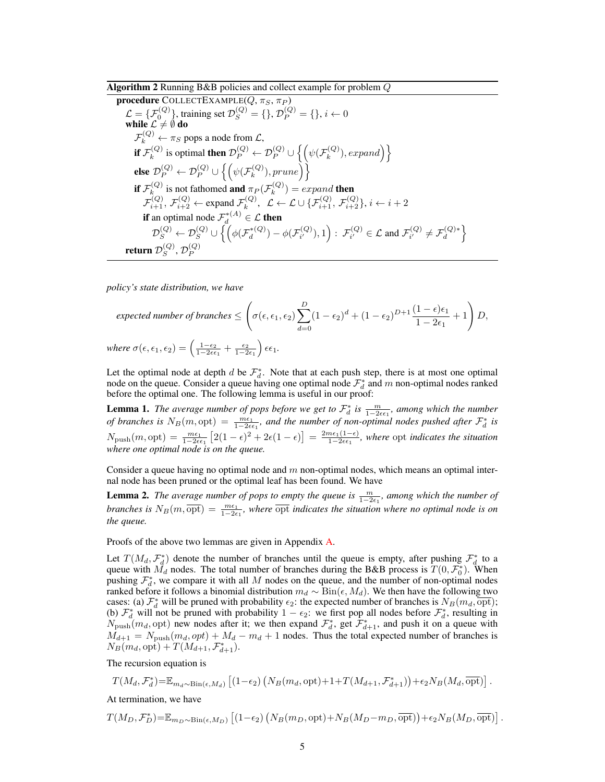#### Algorithm 2 Running B&B policies and collect example for problem Q

<span id="page-4-0"></span>procedure COLLECTEXAMPLE( $Q, \pi_S, \pi_P$ )  $\mathcal{L} = {\{\mathcal{F}_0^{(Q)}\}}$ , training set  $\mathcal{D}_S^{(Q)} = \{\}, \mathcal{D}_P^{(Q)} = \{\}, i \leftarrow 0$ while  $\mathcal{L} \neq \emptyset$  do  $\mathcal{F}_k^{(Q)} \leftarrow \pi_S$  pops a node from  $\mathcal{L}$ , if  $\mathcal{F}_k^{(Q)}$  $\mathcal{D}_k^{(Q)}$  is optimal then  $\mathcal{D}_P^{(Q)} \leftarrow \mathcal{D}_P^{(Q)} \cup \left\{ \left( \psi(\mathcal{F}_k^{(Q)}), \psi(\mathcal{F}_k^{(Q)}) \right) \right\}$  $\{ \mathcal{R}^{(Q)}_k), expand \}$ else  $\mathcal{D}_P^{(Q)} \leftarrow \mathcal{D}_P^{(Q)} \cup \left\{ \left( \psi(\mathcal{F}_k^{(Q)} \right) \right.$  $\left\{ \begin{matrix} (Q) \\ k \end{matrix} \right\}$ , prune $\left\{ \begin{matrix} \end{matrix} \right\}$ if  $\mathcal{F}_k^{(Q)}$  $\mathcal{F}_k^{(Q)}$  is not fathomed **and**  $\pi_P(\mathcal{F}_k^{(Q)})$  $k^{(Q)}$ ) = expand **then**  $\mathcal{F}_{i+1}^{(Q)}, \mathcal{F}_{i+2}^{(Q)} \leftarrow \text{expand } \mathcal{F}_k^{(Q)}$  $\mathcal{L}^{(Q)}_{k}, \ \ \mathcal{L} \leftarrow \mathcal{L} \cup \{\mathcal{F}^{(Q)}_{i+1}, \mathcal{F}^{(Q)}_{i+2}\}, i \leftarrow i+2$ **if** an optimal node  $\mathcal{F}_d^{*(A)} \in \mathcal{L}$  **then**  $\mathcal{D}_S^{(Q)} \leftarrow \mathcal{D}_S^{(Q)} \cup \Bigl\{\Bigl(\phi(\mathcal{F}_d^{*(Q)}% ,\mathcal{F}_L^{*(Q)} ,\mathcal{F}_L^{*(Q)} ,\mathcal{F}_L^{*(Q)} ,\mathcal{F}_L^{*(Q)} ,\mathcal{F}_L^{*(Q)} ,\mathcal{F}_L^{*(Q)} ,\mathcal{F}_L^{*(Q)} ,\mathcal{F}_L^{*(Q)} ,\mathcal{F}_L^{*(Q)} ,\mathcal{F}_L^{*(Q)} ,\mathcal{F}_L^{*(Q)} ,\mathcal{F}_L^{*(Q)} ,\mathcal{F}_L^{*(Q)} ,\mathcal{F}_L^{*(Q)} ,\mathcal$  $\phi_d^{*(Q)}) - \phi(\mathcal{F}_{i'}^{(Q)})$  $\mathcal{F}_{i'}^{(Q)}),1$ ) :  $\mathcal{F}_{i'}^{(Q)}$  $\mathcal{F}_{i'}^{(Q)} \in \mathcal{L}$  and  $\mathcal{F}_{i'}^{(Q)}$  $\mathcal{F}_i^{(Q)} \neq \mathcal{F}_d^{(Q)*}$  $\begin{Bmatrix} (Q) * \\ d \end{Bmatrix}$ return  $\mathcal{D}_S^{(Q)}$  $_S^{(Q)}, \mathcal{D}_P^{(Q)}$ P

*policy's state distribution, we have*

$$
expected number of branches \leq \left(\sigma(\epsilon, \epsilon_1, \epsilon_2) \sum_{d=0}^{D} (1 - \epsilon_2)^d + (1 - \epsilon_2)^{D+1} \frac{(1 - \epsilon)\epsilon_1}{1 - 2\epsilon_1} + 1\right) D,
$$
  
where  $\sigma(\epsilon, \epsilon_1, \epsilon_2) = \left(\frac{1 - \epsilon_2}{1 - 2\epsilon_1} + \frac{\epsilon_2}{1 - 2\epsilon_1}\right) \epsilon \epsilon_1.$ 

Let the optimal node at depth d be  $\mathcal{F}_{d}^{*}$ . Note that at each push step, there is at most one optimal node on the queue. Consider a queue having one optimal node  $\mathcal{F}^*_d$  and m non-optimal nodes ranked before the optimal one. The following lemma is useful in our proof:

<span id="page-4-1"></span>**Lemma 1.** The average number of pops before we get to  $\mathcal{F}_d^*$  is  $\frac{m}{1-2\epsilon\epsilon_1}$ , among which the number *of branches is*  $N_B(m, \text{opt}) = \frac{m\epsilon_1}{1-2\epsilon_1}$ , and the number of non-optimal nodes pushed after  $\mathcal{F}_d^*$  is  $N_{\text{push}}(m, \text{opt}) = \frac{m\epsilon_1}{1-2\epsilon\epsilon_1} \left[ 2(1-\epsilon)^2 + 2\epsilon(1-\epsilon) \right] = \frac{2m\epsilon_1(1-\epsilon)}{1-2\epsilon\epsilon_1}$  $\frac{n\epsilon_1(1-\epsilon)}{1-2\epsilon\epsilon_1}$ , where opt *indicates the situation where one optimal node is on the queue.*

Consider a queue having no optimal node and  $m$  non-optimal nodes, which means an optimal internal node has been pruned or the optimal leaf has been found. We have

<span id="page-4-2"></span>**Lemma 2.** The average number of pops to empty the queue is  $\frac{m}{1-2\epsilon_1}$ , among which the number of *branches is*  $N_B(m, \overline{\text{opt}}) = \frac{m\epsilon_1}{1-2\epsilon_1}$ , where  $\overline{\text{opt}}$  *indicates the situation where no optimal node is on the queue.*

Proofs of the above two lemmas are given in Appendix [A.](#page-9-0)

Let  $T(M_d, \mathcal{F}_d^*)$  denote the number of branches until the queue is empty, after pushing  $\mathcal{F}_d^*$  to a queue with  $\tilde{M_d}$  nodes. The total number of branches during the B&B process is  $T(0, \mathcal{F}_0^*)$ . When pushing  $\mathcal{F}_d^*$ , we compare it with all M nodes on the queue, and the number of non-optimal nodes ranked before it follows a binomial distribution  $m_d \sim Bin(\epsilon, M_d)$ . We then have the following two cases: (a)  $\mathcal{F}_d^*$  will be pruned with probability  $\epsilon_2$ : the expected number of branches is  $N_B(m_d, \overline{\text{opt}})$ ; (b)  $\mathcal{F}_{d}^{*}$  will not be pruned with probability  $1 - \epsilon_2$ : we first pop all nodes before  $\mathcal{F}_{d}^{*}$ , resulting in  $N_{\text{push}}(m_d, \text{opt})$  new nodes after it; we then expand  $\mathcal{F}_d^*$ , get  $\mathcal{F}_{d+1}^*$ , and push it on a queue with  $M_{d+1} = N_{\text{push}}(m_d, opt) + M_d - m_d + 1$  nodes. Thus the total expected number of branches is  $N_B(m_d, {\rm opt}) + T(M_{d+1}, \mathcal{F}^*_{d+1}).$ 

The recursion equation is

$$
T(M_d, \mathcal{F}_d^*) = \mathbb{E}_{m_d \sim Bin(\epsilon, M_d)} \left[ (1 - \epsilon_2) \left( N_B(m_d, \text{opt}) + 1 + T(M_{d+1}, \mathcal{F}_{d+1}^*) \right) + \epsilon_2 N_B(M_d, \overline{\text{opt}}) \right].
$$

At termination, we have

$$
T(M_D, \mathcal{F}_D^*)\!=\!\mathbb{E}_{m_D\sim \mathrm{Bin}(\epsilon,M_D)}\left[(1\!-\!\epsilon_2)\left(N_B(m_D,\mathrm{opt})\!+\!N_B(M_D\!-\!m_D,\overline{\mathrm{opt}})\right)\!+\!\epsilon_2 N_B(M_D,\overline{\mathrm{opt}})\right].
$$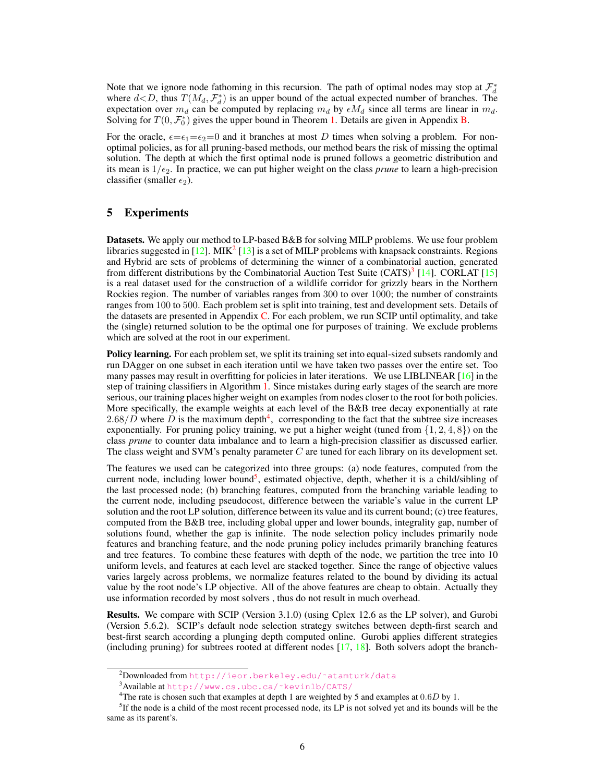Note that we ignore node fathoming in this recursion. The path of optimal nodes may stop at  $\mathcal{F}_d^*$ where  $d < D$ , thus  $T(M_d, \mathcal{F}_d^*)$  is an upper bound of the actual expected number of branches. The expectation over  $m_d$  can be computed by replacing  $m_d$  by  $\epsilon M_d$  since all terms are linear in  $m_d$ . Solving for  $T(0, \mathcal{F}_0^*)$  gives the upper bound in Theorem [1.](#page-3-1) Details are given in Appendix [B.](#page-9-1)

For the oracle,  $\epsilon = \epsilon_1 = \epsilon_2 = 0$  and it branches at most D times when solving a problem. For nonoptimal policies, as for all pruning-based methods, our method bears the risk of missing the optimal solution. The depth at which the first optimal node is pruned follows a geometric distribution and its mean is  $1/\epsilon_2$ . In practice, we can put higher weight on the class *prune* to learn a high-precision classifier (smaller  $\epsilon_2$ ).

#### 5 Experiments

Datasets. We apply our method to LP-based B&B for solving MILP problems. We use four problem libraries suggested in [\[12\]](#page-8-11). MIK<sup>[2](#page-5-0)</sup> [\[13\]](#page-8-12) is a set of MILP problems with knapsack constraints. Regions and Hybrid are sets of problems of determining the winner of a combinatorial auction, generated from different distributions by the Combinatorial Auction Test Suite (CATS)<sup>[3](#page-5-1)</sup> [\[14\]](#page-8-13). CORLAT [\[15\]](#page-8-14) is a real dataset used for the construction of a wildlife corridor for grizzly bears in the Northern Rockies region. The number of variables ranges from 300 to over 1000; the number of constraints ranges from 100 to 500. Each problem set is split into training, test and development sets. Details of the datasets are presented in Appendix [C.](#page-10-0) For each problem, we run SCIP until optimality, and take the (single) returned solution to be the optimal one for purposes of training. We exclude problems which are solved at the root in our experiment.

Policy learning. For each problem set, we split its training set into equal-sized subsets randomly and run DAgger on one subset in each iteration until we have taken two passes over the entire set. Too many passes may result in overfitting for policies in later iterations. We use LIBLINEAR  $[16]$  in the step of training classifiers in Algorithm [1.](#page-2-1) Since mistakes during early stages of the search are more serious, our training places higher weight on examples from nodes closer to the root for both policies. More specifically, the example weights at each level of the B&B tree decay exponentially at rate  $2.68/D$  where D is the maximum depth<sup>[4](#page-5-2)</sup>, corresponding to the fact that the subtree size increases exponentially. For pruning policy training, we put a higher weight (tuned from  $\{1, 2, 4, 8\}$ ) on the class *prune* to counter data imbalance and to learn a high-precision classifier as discussed earlier. The class weight and SVM's penalty parameter  $C$  are tuned for each library on its development set.

The features we used can be categorized into three groups: (a) node features, computed from the current node, including lower bound<sup>[5](#page-5-3)</sup>, estimated objective, depth, whether it is a child/sibling of the last processed node; (b) branching features, computed from the branching variable leading to the current node, including pseudocost, difference between the variable's value in the current LP solution and the root LP solution, difference between its value and its current bound; (c) tree features, computed from the B&B tree, including global upper and lower bounds, integrality gap, number of solutions found, whether the gap is infinite. The node selection policy includes primarily node features and branching feature, and the node pruning policy includes primarily branching features and tree features. To combine these features with depth of the node, we partition the tree into 10 uniform levels, and features at each level are stacked together. Since the range of objective values varies largely across problems, we normalize features related to the bound by dividing its actual value by the root node's LP objective. All of the above features are cheap to obtain. Actually they use information recorded by most solvers , thus do not result in much overhead.

Results. We compare with SCIP (Version 3.1.0) (using Cplex 12.6 as the LP solver), and Gurobi (Version 5.6.2). SCIP's default node selection strategy switches between depth-first search and best-first search according a plunging depth computed online. Gurobi applies different strategies (including pruning) for subtrees rooted at different nodes [\[17,](#page-8-16) [18\]](#page-8-17). Both solvers adopt the branch-

<span id="page-5-0"></span><sup>&</sup>lt;sup>2</sup>Downloaded from http://ieor.berkeley.edu/~atamturk/data

<span id="page-5-1"></span><sup>3</sup>Available at [http://www.cs.ubc.ca/˜kevinlb/CATS/](http://www.cs.ubc.ca/~kevinlb/CATS/)

<span id="page-5-3"></span><span id="page-5-2"></span><sup>&</sup>lt;sup>4</sup>The rate is chosen such that examples at depth 1 are weighted by 5 and examples at  $0.6D$  by 1.

<sup>&</sup>lt;sup>5</sup>If the node is a child of the most recent processed node, its LP is not solved yet and its bounds will be the same as its parent's.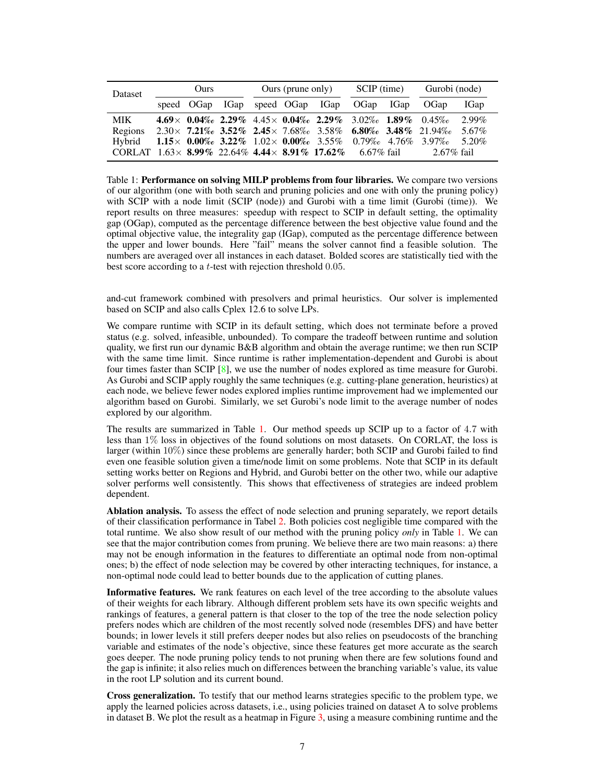| <b>Dataset</b>                                                                                  | Ours |  | Ours (prune only) |  |  | SCIP (time)                                                              |  | Gurobi (node) |                                                                             |       |
|-------------------------------------------------------------------------------------------------|------|--|-------------------|--|--|--------------------------------------------------------------------------|--|---------------|-----------------------------------------------------------------------------|-------|
|                                                                                                 |      |  |                   |  |  | speed OGap IGap speed OGap IGap OGap IGap OGap                           |  |               |                                                                             | IGap  |
| <b>MIK</b>                                                                                      |      |  |                   |  |  | $4.69\times$ 0.04\% 2.29\% 4.45\times 0.04\% 2.29\% 3.02\% 1.89\% 0.45\% |  |               |                                                                             | 2.99% |
| Regions $2.30 \times 7.21\%$ $3.52\%$ $2.45 \times 7.68\%$ $3.58\%$ $6.80\%$ $3.48\%$ $21.94\%$ |      |  |                   |  |  |                                                                          |  |               |                                                                             | 5.67% |
| Hybrid                                                                                          |      |  |                   |  |  |                                                                          |  |               | 1.15 $\times$ 0.00% 3.22% 1.02 $\times$ 0.00% 3.55% 0.79% 4.76% 3.97% 5.20% |       |
| CORLAT $1.63 \times 8.99\%$ 22.64% 4.44 $\times 8.91\%$ 17.62% 6.67% fail                       |      |  |                   |  |  |                                                                          |  |               | $2.67\%$ fail                                                               |       |

<span id="page-6-0"></span>Table 1: Performance on solving MILP problems from four libraries. We compare two versions of our algorithm (one with both search and pruning policies and one with only the pruning policy) with SCIP with a node limit (SCIP (node)) and Gurobi with a time limit (Gurobi (time)). We report results on three measures: speedup with respect to SCIP in default setting, the optimality gap (OGap), computed as the percentage difference between the best objective value found and the optimal objective value, the integrality gap (IGap), computed as the percentage difference between the upper and lower bounds. Here "fail" means the solver cannot find a feasible solution. The numbers are averaged over all instances in each dataset. Bolded scores are statistically tied with the best score according to a *t*-test with rejection threshold 0.05.

and-cut framework combined with presolvers and primal heuristics. Our solver is implemented based on SCIP and also calls Cplex 12.6 to solve LPs.

We compare runtime with SCIP in its default setting, which does not terminate before a proved status (e.g. solved, infeasible, unbounded). To compare the tradeoff between runtime and solution quality, we first run our dynamic B&B algorithm and obtain the average runtime; we then run SCIP with the same time limit. Since runtime is rather implementation-dependent and Gurobi is about four times faster than SCIP [\[8\]](#page-8-7), we use the number of nodes explored as time measure for Gurobi. As Gurobi and SCIP apply roughly the same techniques (e.g. cutting-plane generation, heuristics) at each node, we believe fewer nodes explored implies runtime improvement had we implemented our algorithm based on Gurobi. Similarly, we set Gurobi's node limit to the average number of nodes explored by our algorithm.

The results are summarized in Table [1.](#page-6-0) Our method speeds up SCIP up to a factor of 4.7 with less than  $1\%$  loss in objectives of the found solutions on most datasets. On CORLAT, the loss is larger (within 10%) since these problems are generally harder; both SCIP and Gurobi failed to find even one feasible solution given a time/node limit on some problems. Note that SCIP in its default setting works better on Regions and Hybrid, and Gurobi better on the other two, while our adaptive solver performs well consistently. This shows that effectiveness of strategies are indeed problem dependent.

Ablation analysis. To assess the effect of node selection and pruning separately, we report details of their classification performance in Tabel [2.](#page-7-0) Both policies cost negligible time compared with the total runtime. We also show result of our method with the pruning policy *only* in Table [1.](#page-6-0) We can see that the major contribution comes from pruning. We believe there are two main reasons: a) there may not be enough information in the features to differentiate an optimal node from non-optimal ones; b) the effect of node selection may be covered by other interacting techniques, for instance, a non-optimal node could lead to better bounds due to the application of cutting planes.

Informative features. We rank features on each level of the tree according to the absolute values of their weights for each library. Although different problem sets have its own specific weights and rankings of features, a general pattern is that closer to the top of the tree the node selection policy prefers nodes which are children of the most recently solved node (resembles DFS) and have better bounds; in lower levels it still prefers deeper nodes but also relies on pseudocosts of the branching variable and estimates of the node's objective, since these features get more accurate as the search goes deeper. The node pruning policy tends to not pruning when there are few solutions found and the gap is infinite; it also relies much on differences between the branching variable's value, its value in the root LP solution and its current bound.

Cross generalization. To testify that our method learns strategies specific to the problem type, we apply the learned policies across datasets, i.e., using policies trained on dataset A to solve problems in dataset B. We plot the result as a heatmap in Figure [3,](#page-7-1) using a measure combining runtime and the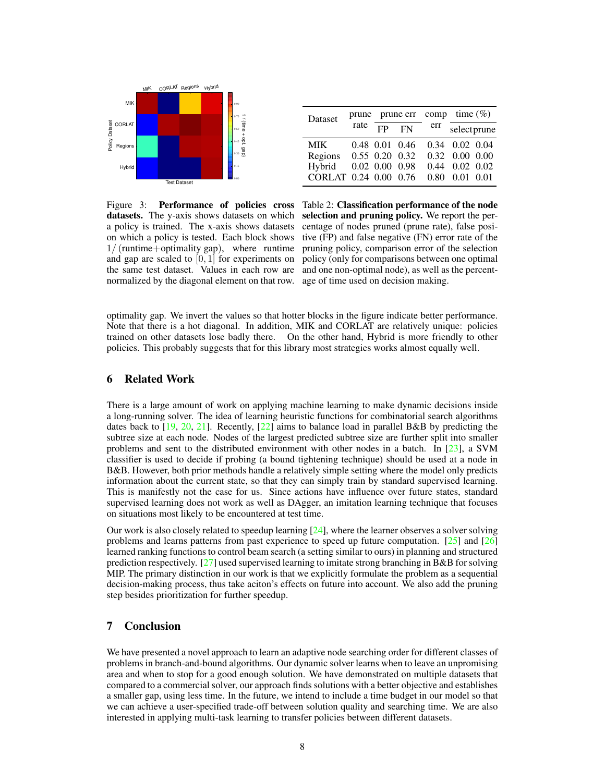

<span id="page-7-1"></span><span id="page-7-0"></span>

| Dataset          | prune |                      | prune err | comp | time $(\%)$       |      |  |
|------------------|-------|----------------------|-----------|------|-------------------|------|--|
|                  | rate  | FP                   | FN        | err  | selectprune       |      |  |
| <b>MIK</b>       |       | $0.48$ $0.01$ $0.46$ |           |      | 0.34 0.02 0.04    |      |  |
| Regions          |       | $0.55$ 0.20 0.32     |           |      | 0.32 0.00 0.00    |      |  |
| Hybrid           |       | $0.02$ $0.00$ $0.98$ |           | 0.44 | $0.02 \quad 0.02$ |      |  |
| CORLAT 0.24 0.00 |       |                      | 0.76      | 0.80 | 0.01              | 0.01 |  |

Figure 3: Performance of policies cross Table 2: Classification performance of the node normalized by the diagonal element on that row. age of time used on decision making.

datasets. The y-axis shows datasets on which selection and pruning policy. We report the pera policy is trained. The x-axis shows datasets centage of nodes pruned (prune rate), false posion which a policy is tested. Each block shows tive (FP) and false negative (FN) error rate of the 1/ (runtime+optimality gap), where runtime pruning policy, comparison error of the selection and gap are scaled to  $[0, 1]$  for experiments on policy (only for comparisons between one optimal the same test dataset. Values in each row are and one non-optimal node), as well as the percent-

optimality gap. We invert the values so that hotter blocks in the figure indicate better performance. Note that there is a hot diagonal. In addition, MIK and CORLAT are relatively unique: policies trained on other datasets lose badly there. On the other hand, Hybrid is more friendly to other policies. This probably suggests that for this library most strategies works almost equally well.

#### 6 Related Work

There is a large amount of work on applying machine learning to make dynamic decisions inside a long-running solver. The idea of learning heuristic functions for combinatorial search algorithms dates back to  $[19, 20, 21]$  $[19, 20, 21]$  $[19, 20, 21]$  $[19, 20, 21]$  $[19, 20, 21]$ . Recently,  $[22]$  aims to balance load in parallel B&B by predicting the subtree size at each node. Nodes of the largest predicted subtree size are further split into smaller problems and sent to the distributed environment with other nodes in a batch. In [\[23\]](#page-8-22), a SVM classifier is used to decide if probing (a bound tightening technique) should be used at a node in B&B. However, both prior methods handle a relatively simple setting where the model only predicts information about the current state, so that they can simply train by standard supervised learning. This is manifestly not the case for us. Since actions have influence over future states, standard supervised learning does not work as well as DAgger, an imitation learning technique that focuses on situations most likely to be encountered at test time.

Our work is also closely related to speedup learning [\[24\]](#page-8-23), where the learner observes a solver solving problems and learns patterns from past experience to speed up future computation. [\[25\]](#page-8-24) and [\[26\]](#page-8-25) learned ranking functions to control beam search (a setting similar to ours) in planning and structured prediction respectively. [\[27\]](#page-8-26) used supervised learning to imitate strong branching in B&B for solving MIP. The primary distinction in our work is that we explicitly formulate the problem as a sequential decision-making process, thus take aciton's effects on future into account. We also add the pruning step besides prioritization for further speedup.

## 7 Conclusion

We have presented a novel approach to learn an adaptive node searching order for different classes of problems in branch-and-bound algorithms. Our dynamic solver learns when to leave an unpromising area and when to stop for a good enough solution. We have demonstrated on multiple datasets that compared to a commercial solver, our approach finds solutions with a better objective and establishes a smaller gap, using less time. In the future, we intend to include a time budget in our model so that we can achieve a user-specified trade-off between solution quality and searching time. We are also interested in applying multi-task learning to transfer policies between different datasets.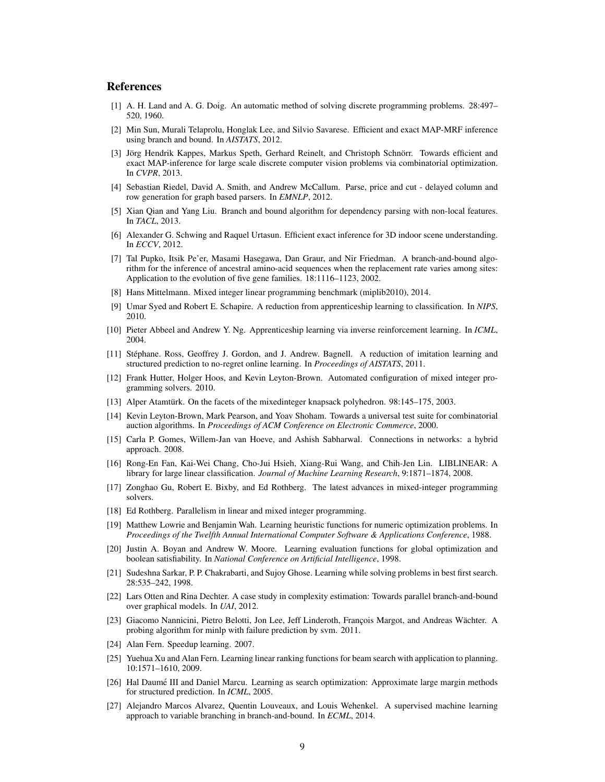#### References

- <span id="page-8-0"></span>[1] A. H. Land and A. G. Doig. An automatic method of solving discrete programming problems. 28:497– 520, 1960.
- <span id="page-8-1"></span>[2] Min Sun, Murali Telaprolu, Honglak Lee, and Silvio Savarese. Efficient and exact MAP-MRF inference using branch and bound. In *AISTATS*, 2012.
- <span id="page-8-2"></span>[3] Jörg Hendrik Kappes, Markus Speth, Gerhard Reinelt, and Christoph Schnörr. Towards efficient and exact MAP-inference for large scale discrete computer vision problems via combinatorial optimization. In *CVPR*, 2013.
- <span id="page-8-3"></span>[4] Sebastian Riedel, David A. Smith, and Andrew McCallum. Parse, price and cut - delayed column and row generation for graph based parsers. In *EMNLP*, 2012.
- <span id="page-8-4"></span>[5] Xian Qian and Yang Liu. Branch and bound algorithm for dependency parsing with non-local features. In *TACL*, 2013.
- <span id="page-8-5"></span>[6] Alexander G. Schwing and Raquel Urtasun. Efficient exact inference for 3D indoor scene understanding. In *ECCV*, 2012.
- <span id="page-8-6"></span>[7] Tal Pupko, Itsik Pe'er, Masami Hasegawa, Dan Graur, and Nir Friedman. A branch-and-bound algorithm for the inference of ancestral amino-acid sequences when the replacement rate varies among sites: Application to the evolution of five gene families. 18:1116–1123, 2002.
- <span id="page-8-7"></span>[8] Hans Mittelmann. Mixed integer linear programming benchmark (miplib2010), 2014.
- <span id="page-8-8"></span>[9] Umar Syed and Robert E. Schapire. A reduction from apprenticeship learning to classification. In *NIPS*, 2010.
- <span id="page-8-9"></span>[10] Pieter Abbeel and Andrew Y. Ng. Apprenticeship learning via inverse reinforcement learning. In *ICML*, 2004.
- <span id="page-8-10"></span>[11] Stéphane. Ross, Geoffrey J. Gordon, and J. Andrew. Bagnell. A reduction of imitation learning and structured prediction to no-regret online learning. In *Proceedings of AISTATS*, 2011.
- <span id="page-8-11"></span>[12] Frank Hutter, Holger Hoos, and Kevin Leyton-Brown. Automated configuration of mixed integer programming solvers. 2010.
- <span id="page-8-12"></span>[13] Alper Atamtürk. On the facets of the mixedinteger knapsack polyhedron. 98:145–175, 2003.
- <span id="page-8-13"></span>[14] Kevin Leyton-Brown, Mark Pearson, and Yoav Shoham. Towards a universal test suite for combinatorial auction algorithms. In *Proceedings of ACM Conference on Electronic Commerce*, 2000.
- <span id="page-8-14"></span>[15] Carla P. Gomes, Willem-Jan van Hoeve, and Ashish Sabharwal. Connections in networks: a hybrid approach. 2008.
- <span id="page-8-15"></span>[16] Rong-En Fan, Kai-Wei Chang, Cho-Jui Hsieh, Xiang-Rui Wang, and Chih-Jen Lin. LIBLINEAR: A library for large linear classification. *Journal of Machine Learning Research*, 9:1871–1874, 2008.
- <span id="page-8-16"></span>[17] Zonghao Gu, Robert E. Bixby, and Ed Rothberg. The latest advances in mixed-integer programming solvers.
- <span id="page-8-17"></span>[18] Ed Rothberg. Parallelism in linear and mixed integer programming.
- <span id="page-8-18"></span>[19] Matthew Lowrie and Benjamin Wah. Learning heuristic functions for numeric optimization problems. In *Proceedings of the Twelfth Annual International Computer Software & Applications Conference*, 1988.
- <span id="page-8-19"></span>[20] Justin A. Boyan and Andrew W. Moore. Learning evaluation functions for global optimization and boolean satisfiability. In *National Conference on Artificial Intelligence*, 1998.
- <span id="page-8-20"></span>[21] Sudeshna Sarkar, P. P. Chakrabarti, and Sujoy Ghose. Learning while solving problems in best first search. 28:535–242, 1998.
- <span id="page-8-21"></span>[22] Lars Otten and Rina Dechter. A case study in complexity estimation: Towards parallel branch-and-bound over graphical models. In *UAI*, 2012.
- <span id="page-8-22"></span>[23] Giacomo Nannicini, Pietro Belotti, Jon Lee, Jeff Linderoth, François Margot, and Andreas Wächter. A probing algorithm for minlp with failure prediction by svm. 2011.
- <span id="page-8-23"></span>[24] Alan Fern. Speedup learning. 2007.
- <span id="page-8-24"></span>[25] Yuehua Xu and Alan Fern. Learning linear ranking functions for beam search with application to planning. 10:1571–1610, 2009.
- <span id="page-8-25"></span>[26] Hal Daume III and Daniel Marcu. Learning as search optimization: Approximate large margin methods ´ for structured prediction. In *ICML*, 2005.
- <span id="page-8-26"></span>[27] Alejandro Marcos Alvarez, Quentin Louveaux, and Louis Wehenkel. A supervised machine learning approach to variable branching in branch-and-bound. In *ECML*, 2014.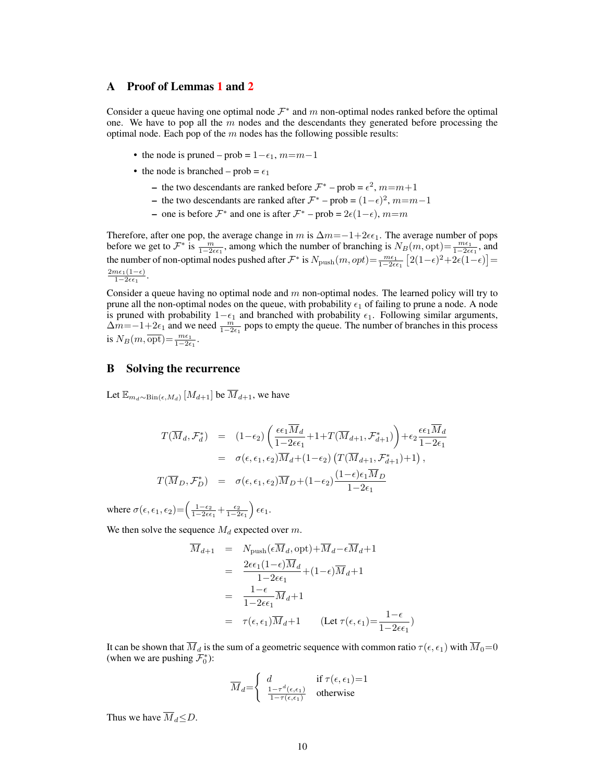#### <span id="page-9-0"></span>A Proof of Lemmas [1](#page-4-1) and [2](#page-4-2)

Consider a queue having one optimal node  $\mathcal{F}^*$  and m non-optimal nodes ranked before the optimal one. We have to pop all the  $m$  nodes and the descendants they generated before processing the optimal node. Each pop of the  $m$  nodes has the following possible results:

- the node is pruned prob =  $1-\epsilon_1$ ,  $m=m-1$
- the node is branched prob =  $\epsilon_1$ 
	- the two descendants are ranked before  $\mathcal{F}^*$  prob =  $\epsilon^2$ ,  $m$  =  $m+1$
	- the two descendants are ranked after  $\mathcal{F}^*$  prob =  $(1-\epsilon)^2$ ,  $m=m-1$
	- $\rightarrow$  one is before  $\mathcal{F}^*$  and one is after  $\mathcal{F}^*$  prob = 2 $\varepsilon(1-\epsilon)$ , m=m

Therefore, after one pop, the average change in m is  $\Delta m = -1+2\epsilon\epsilon_1$ . The average number of pops before we get to  $\mathcal{F}^*$  is  $\frac{m}{1-2\epsilon\epsilon_1}$ , among which the number of branching is  $N_B(m, \text{opt}) = \frac{m\epsilon_1}{1-2\epsilon\epsilon_1}$ , and the number of non-optimal nodes pushed after  $\mathcal{F}^*$  is  $N_{\text{push}}(m, opt) = \frac{me_1}{1-2\epsilon\epsilon_1} [2(1-\epsilon)^2 + 2\epsilon(1-\epsilon)] =$  $2m\epsilon_1(1-\epsilon)$  $1-2\epsilon\epsilon_1$ .

Consider a queue having no optimal node and  $m$  non-optimal nodes. The learned policy will try to prune all the non-optimal nodes on the queue, with probability  $\epsilon_1$  of failing to prune a node. A node is pruned with probability  $1-\epsilon_1$  and branched with probability  $\epsilon_1$ . Following similar arguments,  $\Delta m = -1+2\epsilon_1$  and we need  $\frac{m}{1-2\epsilon_1}$  pops to empty the queue. The number of branches in this process is  $N_B(m, \overline{\text{opt}}) = \frac{m\epsilon_1}{1-2\epsilon_1}.$ 

## <span id="page-9-1"></span>B Solving the recurrence

Let  $\mathbb{E}_{m_d \sim Bin(\epsilon, M_d)} [M_{d+1}]$  be  $\overline{M}_{d+1}$ , we have

$$
T(\overline{M}_d, \mathcal{F}_d^*) = (1 - \epsilon_2) \left( \frac{\epsilon \epsilon_1 \overline{M}_d}{1 - 2\epsilon \epsilon_1} + 1 + T(\overline{M}_{d+1}, \mathcal{F}_{d+1}^*) \right) + \epsilon_2 \frac{\epsilon \epsilon_1 \overline{M}_d}{1 - 2\epsilon_1}
$$
  
\n
$$
= \sigma(\epsilon, \epsilon_1, \epsilon_2) \overline{M}_d + (1 - \epsilon_2) \left( T(\overline{M}_{d+1}, \mathcal{F}_{d+1}^*) + 1 \right),
$$
  
\n
$$
T(\overline{M}_D, \mathcal{F}_D^*) = \sigma(\epsilon, \epsilon_1, \epsilon_2) \overline{M}_D + (1 - \epsilon_2) \frac{(1 - \epsilon)\epsilon_1 \overline{M}_D}{1 - 2\epsilon_1}
$$

where  $\sigma(\epsilon, \epsilon_1, \epsilon_2) = \left(\frac{1-\epsilon_2}{1-2\epsilon\epsilon_1} + \frac{\epsilon_2}{1-2\epsilon_1}\right) \epsilon \epsilon_1$ .

We then solve the sequence  $M_d$  expected over m.

$$
\overline{M}_{d+1} = N_{\text{push}}(\epsilon \overline{M}_d, \text{opt}) + \overline{M}_d - \epsilon \overline{M}_d + 1
$$
\n
$$
= \frac{2\epsilon \epsilon_1 (1 - \epsilon) \overline{M}_d}{1 - 2\epsilon \epsilon_1} + (1 - \epsilon) \overline{M}_d + 1
$$
\n
$$
= \frac{1 - \epsilon}{1 - 2\epsilon \epsilon_1} \overline{M}_d + 1
$$
\n
$$
= \tau(\epsilon, \epsilon_1) \overline{M}_d + 1 \qquad (\text{Let } \tau(\epsilon, \epsilon_1) = \frac{1 - \epsilon}{1 - 2\epsilon \epsilon_1})
$$

It can be shown that  $\overline{M}_d$  is the sum of a geometric sequence with common ratio  $\tau(\epsilon, \epsilon_1)$  with  $\overline{M}_0=0$ (when we are pushing  $\mathcal{F}_0^*$ ):

$$
\overline{M}_d = \begin{cases} d & \text{if } \tau(\epsilon, \epsilon_1) = 1\\ \frac{1 - \tau^d(\epsilon, \epsilon_1)}{1 - \tau(\epsilon, \epsilon_1)} & \text{otherwise} \end{cases}
$$

Thus we have  $\overline{M}_d \leq D$ .